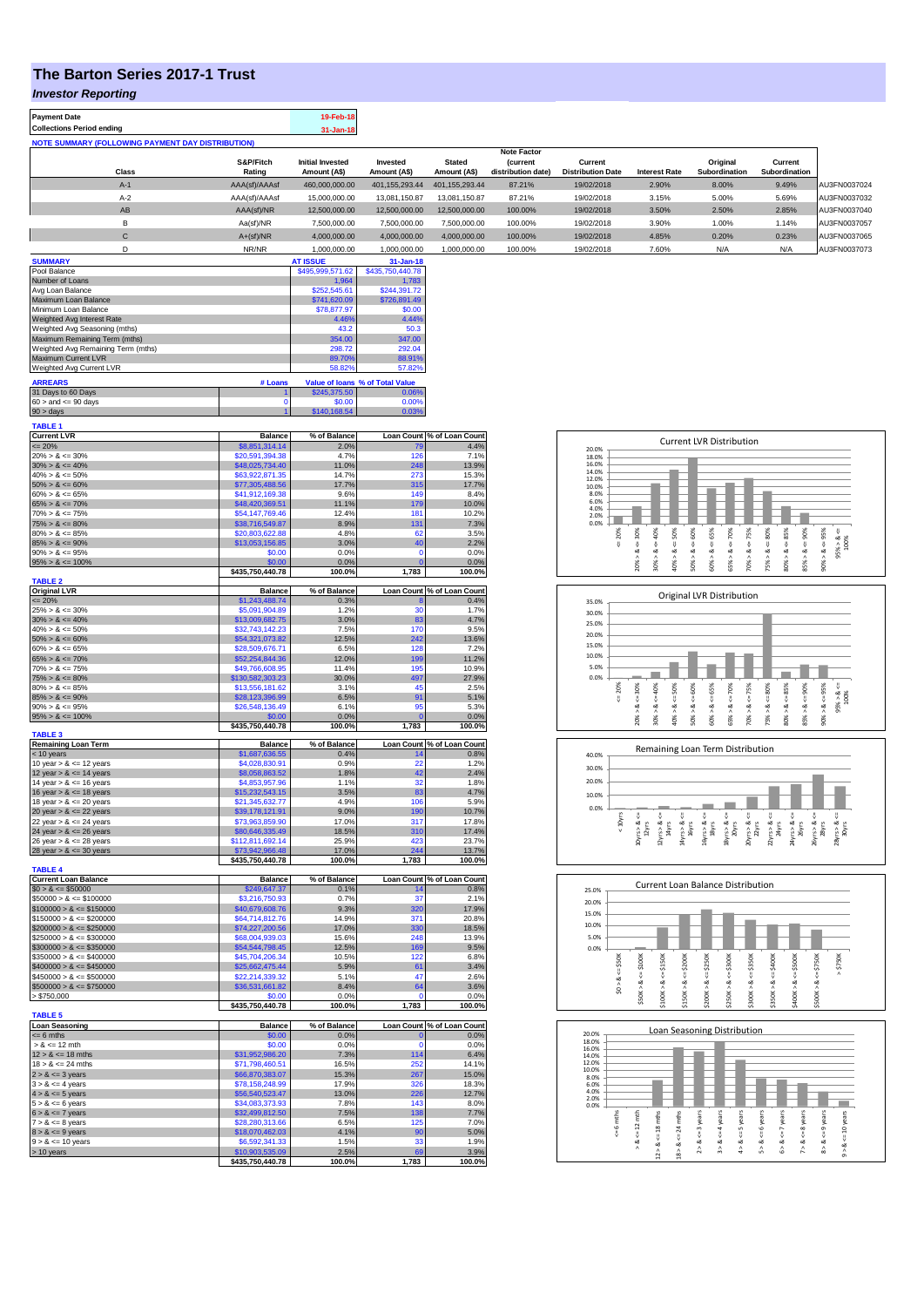## **The Barton Series 2017-1 Trust**

*Investor Reporting*

 $\mathsf{I}$ 

| Payment Date                                             |               | 19-Feb-18               |                  |                |                    |                          |                      |               |               |              |
|----------------------------------------------------------|---------------|-------------------------|------------------|----------------|--------------------|--------------------------|----------------------|---------------|---------------|--------------|
| <b>Collections Period ending</b>                         |               | $31 - Jan-18$           |                  |                |                    |                          |                      |               |               |              |
| <b>NOTE SUMMARY (FOLLOWING PAYMENT DAY DISTRIBUTION)</b> |               |                         |                  |                |                    |                          |                      |               |               |              |
|                                                          |               |                         |                  |                | <b>Note Factor</b> |                          |                      |               |               |              |
|                                                          | S&P/Fitch     | <b>Initial Invested</b> | Invested         | <b>Stated</b>  | <b>(current</b>    | Current                  |                      | Original      | Current       |              |
| Class                                                    | Rating        | Amount (A\$)            | Amount (A\$)     | Amount (A\$)   | distribution date) | <b>Distribution Date</b> | <b>Interest Rate</b> | Subordination | Subordination |              |
| $A-1$                                                    | AAA(sf)/AAAsf | 460,000,000.00          | 401, 155, 293.44 | 401.155.293.44 | 87.21%             | 19/02/2018               | 2.90%                | 8.00%         | 9.49%         | AU3FN0037024 |
| $A-2$                                                    | AAA(sf)/AAAsf | 15,000,000.00           | 13,081,150.87    | 13.081.150.87  | 87.21%             | 19/02/2018               | 3.15%                | 5.00%         | 5.69%         | AU3FN0037032 |
| AB                                                       | AAA(sf)/NR    | 12,500,000.00           | 12.500.000.00    | 12.500.000.00  | 100.00%            | 19/02/2018               | 3.50%                | 2.50%         | 2.85%         | AU3FN0037040 |
| B                                                        | Aa(sf)/NR     | 7,500,000.00            | 7,500,000.00     | 7.500.000.00   | 100.00%            | 19/02/2018               | 3.90%                | 1.00%         | 1.14%         | AU3FN0037057 |
| $\mathsf{C}$                                             | $A+(sf)/NR$   | 4.000.000.00            | 4,000,000.00     | 4.000.000.00   | 100.00%            | 19/02/2018               | 4.85%                | 0.20%         | 0.23%         | AU3FN0037065 |
|                                                          | NR/NR         | 1.000.000.00            | 1.000.000.00     | 1.000.000.00   | 100.00%            | 19/02/2018               | 7.60%                | N/A           | N/A           | AU3FN0037073 |
| <b>SUMMARY</b>                                           |               | <b>AT ISSUE</b>         | $31 - Jan-18$    |                |                    |                          |                      |               |               |              |
| _ _ _                                                    |               |                         |                  |                |                    |                          |                      |               |               |              |

| Pool Balance                       |         | \$495,999,571.62 | \$435,750,440.78                |
|------------------------------------|---------|------------------|---------------------------------|
| Number of Loans                    |         | 1.964            | 1.783                           |
| Avg Loan Balance                   |         | \$252,545.61     | \$244.391.72                    |
| Maximum Loan Balance               |         | \$741,620.09     | \$726,891.49                    |
| Minimum Loan Balance               |         | \$78,877.97      | \$0.00                          |
| Weighted Avg Interest Rate         |         | 4.46%            | 4.44%                           |
| Weighted Avg Seasoning (mths)      |         | 43.2             | 50.3                            |
| Maximum Remaining Term (mths)      |         | 354.00           | 347.00                          |
| Weighted Avg Remaining Term (mths) |         | 298.72           | 292.04                          |
| Maximum Current LVR                |         | 89.70%           | 88.91%                          |
| Weighted Avg Current LVR           |         | 58.82%           | 57.82%                          |
| <b>ARREARS</b>                     | # Loans |                  | Value of Ioans % of Total Value |
| 31 Days to 60 Days                 |         | \$245,375.50     | 0.06%                           |
| $60 -$ and $-00$ doug              |         | <b>CO OD</b>     | O OOM                           |

| $-200$                    | <b>CO OF1 214 14</b> | 200 <sub>6</sub> |          | $A$ $A$ $Q$ $L$            |
|---------------------------|----------------------|------------------|----------|----------------------------|
| <b>Current LVR</b>        | Balance              | % of Balance     |          | Loan Count % of Loan Count |
| <b>TABLE 1</b>            |                      |                  |          |                            |
| $90 > \text{davs}$        |                      | \$140,168.54     | 0.03%    |                            |
| $60 >$ and $\leq 90$ days |                      | \$0.00           | 0.00%    |                            |
| 31 Days to 60 Days        |                      | \$245,375,50     | $0.06\%$ |                            |

| $= 20%$                     | \$8,851,314.14                      | 2.0%           | 79             | 4.4%                       |
|-----------------------------|-------------------------------------|----------------|----------------|----------------------------|
| $20\% > 8 \le 30\%$         | \$20,591,394.38                     | 4.7%           | 126            | 7.1%                       |
| $30\% > 8 \le 40\%$         | \$48,025,734.40                     | 11.0%          | 248            | 13.9%                      |
| $40\% > 8 \le 50\%$         | \$63,922,871.35                     | 14.7%          | 273            | 15.3%                      |
| $50\% > 8 \le 60\%$         | \$77,305,488.56                     | 17.7%          | 315            | 17.7%                      |
| $60\% > 8 \le 65\%$         | \$41,912,169.38                     | 9.6%           | 149            | 8.4%                       |
|                             |                                     |                |                |                            |
| $65\% > 8 \le 70\%$         | \$48,420,369.51                     | 11.1%          | 179            | 10.0%                      |
| $70\% > 8 \le 75\%$         | \$54,147,769.46                     | 12.4%          | 181            | 10.2%                      |
| $75\% > 8 \le 80\%$         | \$38,716,549.87                     | 8.9%           | 131            | 7.3%                       |
| $80\% > 8 \le 85\%$         | \$20,803,622.88                     | 4.8%           | 62             | 3.5%                       |
| $85\% > 8 \le 90\%$         | \$13,053,156.85                     | 3.0%           | 40             | 2.2%                       |
| $90\% > 8 \le 95\%$         | \$0.00                              | 0.0%           | $\Omega$       | 0.0%                       |
| $95\% > 8 \le 100\%$        | \$0.00                              | 0.0%           | O              | 0.0%                       |
|                             |                                     |                |                |                            |
|                             | \$435,750,440.78                    | 100.0%         | 1,783          | 100.0%                     |
| <b>TABLE 2</b>              |                                     |                |                |                            |
| <b>Original LVR</b>         | <b>Balance</b>                      | % of Balance   |                | Loan Count % of Loan Count |
| $\leq$ 20%                  | \$1,243,488.74                      | 0.3%           | 8              | 0.4%                       |
| $25\% > 8 \le 30\%$         | \$5,091,904.89                      | 1.2%           | 30             | 1.7%                       |
| $30\% > 8 \le 40\%$         | \$13,009,682.75                     | 3.0%           | 83             | 4.7%                       |
| $40\% > 8 \le 50\%$         | \$32,743,142.23                     | 7.5%           | 170            | 9.5%                       |
| $50\% > 8 \le 60\%$         | \$54,321,073.82                     | 12.5%          | 242            | 13.6%                      |
|                             |                                     |                | 128            |                            |
| $60\% > 8 \le 65\%$         | \$28,509,676.71                     | 6.5%           |                | 7.2%                       |
| $65\% > 8 \le 70\%$         | \$52,254,844.36                     | 12.0%          | 199            | 11.2%                      |
| $70\% > 8 \le 75\%$         | \$49,766,608.95                     | 11.4%          | 195            | 10.9%                      |
| $75\% > 8 \le 80\%$         | \$130,582,303.23                    | 30.0%          | 497            | 27.9%                      |
| $80\% > 8 \le 85\%$         | \$13,556,181.62                     | 3.1%           | 45             | 2.5%                       |
| $85\% > 8 \le 90\%$         | \$28,123,396.99                     | 6.5%           | 91             | 5.1%                       |
|                             |                                     |                | 95             |                            |
| $90\% > 8 \le 95\%$         | \$26,548,136.49                     | 6.1%           |                | 5.3%                       |
| $95\% > 8 \le 100\%$        | \$0.00                              | 0.0%           | $\overline{0}$ | 0.0%                       |
|                             | \$435,750,440.78                    | 100.0%         | 1,783          | 100.0%                     |
| <b>TABLE 3</b>              |                                     |                |                |                            |
| <b>Remaining Loan Term</b>  | <b>Balance</b>                      | % of Balance   |                | Loan Count % of Loan Count |
| < 10 years                  | \$1,687,636.55                      | 0.4%           | 14             | 0.8%                       |
| 10 year $> 8 \le 12$ years  | \$4,028,830.91                      | 0.9%           | 22             | 1.2%                       |
| 12 year $> 8 \le 14$ years  | \$8,058,863.52                      | 1.8%           | 42             | 2.4%                       |
|                             | \$4,853,957.96                      | 1.1%           | 32             | 1.8%                       |
| 14 year $> 8 \le 16$ years  |                                     |                |                |                            |
| 16 year $> 8 \le 18$ years  | \$15,232,543.15                     | 3.5%           | 83             | 4.7%                       |
| 18 year $> 8 \le 20$ years  | \$21,345,632.77                     | 4 9%           | 106            | 5.9%                       |
|                             |                                     |                |                |                            |
| 20 year $> 8 \le 22$ years  | \$39,178,121.91                     | 9.0%           | 190            | 10.7%                      |
|                             |                                     |                |                |                            |
| 22 year $> 8 \le 24$ years  | \$73,963,859.90                     | 17.0%          | 317            | 17.8%                      |
| 24 year $> 8 \le 26$ years  | \$80,646,335.49                     | 18.5%          | 310            | 17.4%                      |
| 26 year $> 8 \le 28$ years  | \$112,811,692.14                    | 25.9%          | 423            | 23.7%                      |
| 28 year $> 8 \le 30$ years  | \$73,942,966.48                     | 17.0%          | 244            | 13.7%                      |
|                             | \$435,750,440.78                    | 100.0%         | 1,783          | 100.0%                     |
| <b>TABLE 4</b>              |                                     |                |                |                            |
|                             |                                     | % of Balance   |                | Loan Count % of Loan Count |
| <b>Current Loan Balance</b> | Balance                             | 0.1%           | 14             | 0.8%                       |
| $$0 > 8 \le $50000$         | \$249,647.37                        |                |                |                            |
| $$50000 > 8 \le $100000$    | \$3,216,750.93                      | 0.7%           | 37             | 2.1%                       |
| $$100000 > 8 \le $150000$   | \$40,679,608.76                     | 9.3%           | 320            | 17.9%                      |
| $$150000 > 8 \le $200000$   | \$64,714,812.76                     | 14.9%          | 371            | 20.8%                      |
| $$200000 > 8 \leq $250000$  | \$74,227,200.56                     | 17.0%          | 330            | 18.5%                      |
| $$250000 > 8 \le $300000$   | \$68,004,939.03                     | 15.6%          | 248            | 13.9%                      |
| $$300000 > 8 \leq $350000$  | \$54,544,798.45                     | 12.5%          | 169            | 9.5%                       |
|                             |                                     |                | 122            |                            |
| $$350000 > 8 \le $400000$   | \$45,704,206.34                     | 10.5%          |                | 6.8%                       |
| $$400000 > 8 \le $450000$   | \$25,662,475.44                     | 5.9%           | 61             | 3.4%                       |
| $$450000 > 8 \le $500000$   | \$22,214,339.32                     | 5.1%           | 47             | 2.6%                       |
| $$500000 > 8 \le $750000$   | \$36,531,661.82                     | 8.4%           | 64             | 3.6%                       |
| > \$750,000                 | \$0.00                              | 0.0%           | O              | 0.0%                       |
|                             | \$435,750,440.78                    | 100.0%         | 1,783          | 100.0%                     |
| <b>TABLE 5</b>              |                                     |                |                |                            |
|                             |                                     |                |                |                            |
| <b>Loan Seasoning</b>       | <b>Balance</b>                      | % of Balance   |                | Loan Count % of Loan Count |
| $= 6$ mths                  | \$0.00                              | 0.0%           | $\mathbf 0$    | 0.0%                       |
| $> 8 \le 12$ mth            | \$0.00                              | 0.0%           | $\Omega$       | 0.0%                       |
| $12 > 8 \le 18$ mths        | \$31,952,986.20                     | 7.3%           | 114            | 6.4%                       |
| $18 > 8 \le 24$ mths        | \$71,798,460.51                     | 16.5%          | 252            | 14.1%                      |
| $2 > 8 \le 3$ years         | \$66,870,383.07                     | 15.3%          | 267            | 15.0%                      |
|                             |                                     |                |                |                            |
| $3 > 8 \leq 4$ years        | \$78,158,248.99                     | 17.9%          | 326            | 18.3%                      |
| $4 > 8 \le 5$ years         | \$56,540,523.47                     | 13.0%          | 226            | 12.7%                      |
| $5 > 8 \le 6$ years         | \$34,083,373.93                     | 7.8%           | 143            | 8.0%                       |
| $6 > 8 \le 7$ years         | \$32,499,812.50                     | 7.5%           | 138            | 7.7%                       |
| $7 > 8 \le 8$ years         | \$28,280,313.66                     | 6.5%           | 125            | 7.0%                       |
| $8 > 8 \le 9$ years         | \$18,070,462.03                     | 4.1%           | 90             | 5.0%                       |
|                             |                                     | 1.5%           | 33             | 1.9%                       |
| $9 > 8 \le 10$ years        | \$6,592,341.33                      |                |                |                            |
| > 10 years                  | \$10,903,535.09<br>\$435,750,440.78 | 2.5%<br>100.0% | 69<br>1,783    | 3.9%<br>100.0%             |

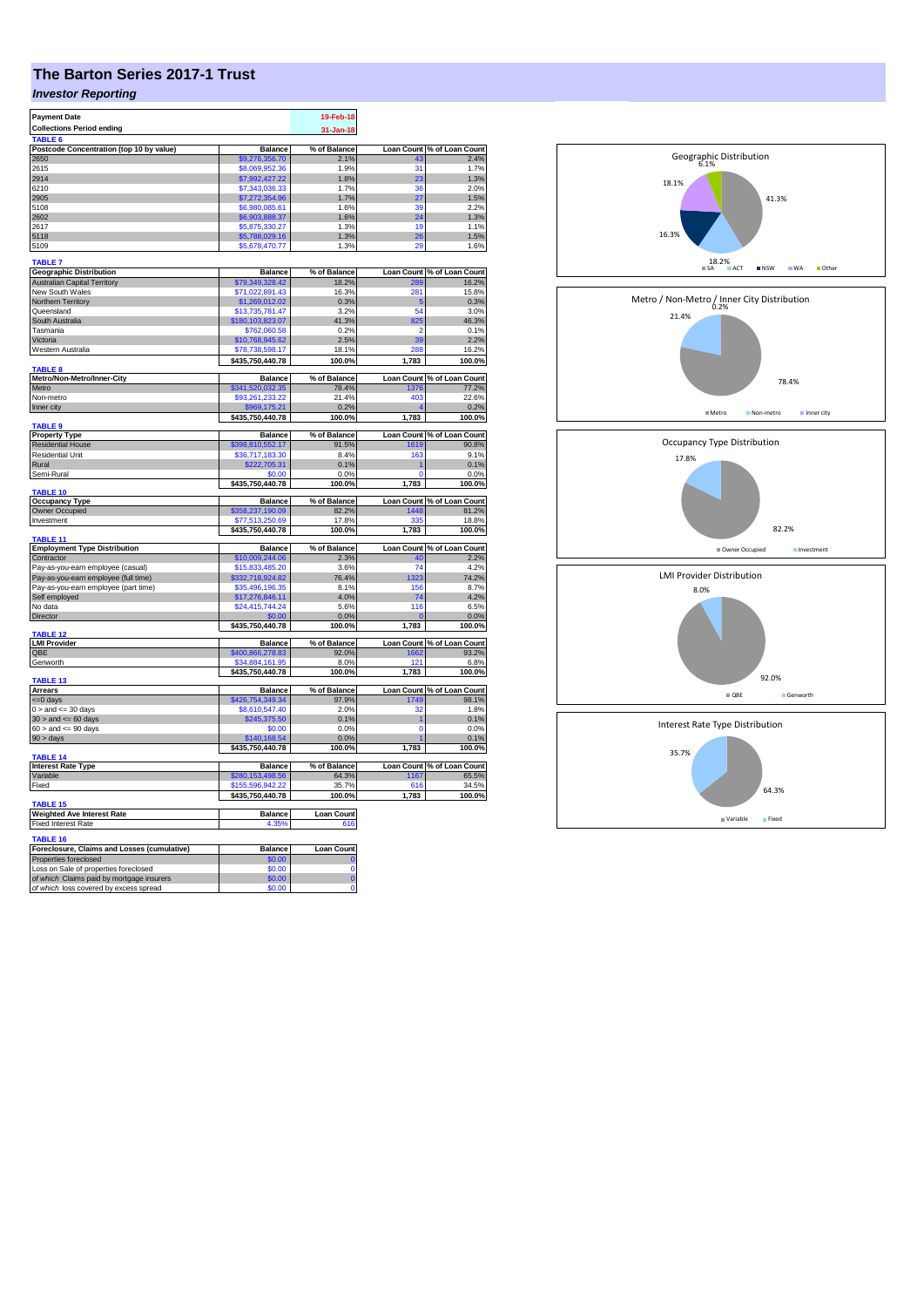## **The Barton Series 2017-1 Trust**

## *Investor Reporting*

| <b>Payment Date</b>                                  |                  | 19-Feb-18         |              |                            |
|------------------------------------------------------|------------------|-------------------|--------------|----------------------------|
| <b>Collections Period ending</b>                     |                  |                   |              |                            |
|                                                      |                  | 31-Jan-18         |              |                            |
|                                                      |                  |                   |              |                            |
| Postcode Concentration (top 10 by value)             | <b>Balance</b>   | % of Balance      |              | Loan Count % of Loan Count |
| 2650                                                 | \$9,276,356,70   | 2.1%              |              | 2.4%                       |
| 2615                                                 | \$8,069,952.36   | 1.9%              | 31           | 1.7%                       |
| 2914                                                 | \$7,992,427.22   | 1.8%              | 23           | 1.3%                       |
| 6210                                                 | \$7,343,036.33   | 1.7%              | 36           | 2.0%                       |
| 2905                                                 | \$7,272,354.96   | 1.7%              | 27           | 1.5%                       |
| 5108                                                 | \$6,980,085.61   | 1.6%              | 39           | 2.2%                       |
| 2602                                                 | \$6,903,888.37   | 1.6%              | 24           | 1.3%                       |
| 2617                                                 | \$5,875,330.27   | 1.3%              | 19           | 1.1%                       |
| 5118                                                 | \$5,788,029.16   | 1.3%              | 26           | 1.5%                       |
| 5109                                                 | \$5,678,470.77   | 1.3%              | 29           | 1.6%                       |
|                                                      |                  |                   |              |                            |
| <b>TABLE 7</b>                                       |                  |                   |              |                            |
| Geographic Distribution                              | <b>Balance</b>   | % of Balance      |              | Loan Count % of Loan Count |
| <b>Australian Capital Territory</b>                  | \$79,349,328.42  | 18.2%             | 289          | 16.2%                      |
| New South Wales                                      | \$71,022,891.43  | 16.3%             | 281          | 15.8%                      |
| Northern Territory                                   | \$1,269,012.02   | 0.3%              | 5            | 0.3%                       |
| Queensland                                           | \$13,735,781.47  | 3.2%              | 54           | 3.0%                       |
| South Australia                                      | \$180,103,823.07 | 41.3%             | 825          | 46.3%                      |
| Tasmania                                             | \$762,060.58     | 0.2%              | 2            | 0.1%                       |
| Victoria                                             | \$10,768,945.62  | 2.5%              | 39           | 2.2%                       |
| Western Australia                                    | \$78,738,598.17  | 18.1%             | 288          | 16.2%                      |
|                                                      | \$435,750,440.78 | 100.0%            | 1,783        | 100.0%                     |
| TABLE 8                                              |                  |                   |              |                            |
| Metro/Non-Metro/Inner-City                           | <b>Balance</b>   | % of Balance      |              | Loan Count % of Loan Count |
| Metro                                                | \$341,520,032.35 | 78.4%             | 1376         | 77.2%                      |
| Non-metro                                            | \$93,261,233.22  | 21.4%             | 403          | 22.6%                      |
| Inner city                                           | 69,175           | 0.2%              |              | 0.2%                       |
|                                                      | \$435,750,440.78 | 100.0%            | 1,783        | 100.0%                     |
| <b>TABLE 9</b>                                       |                  |                   |              |                            |
| <b>Property Type</b>                                 | Balance          | % of Balance      |              | Loan Count % of Loan Count |
| <b>Residential House</b>                             | \$398,810,552.17 | 91.5%             | 1619         | 90.8%                      |
| <b>Residential Unit</b>                              | \$36,717,183.30  | 8.4%              | 163          | 9.1%                       |
| Rural                                                |                  | 0.1%              |              | 0.1%                       |
|                                                      | \$222,705.31     |                   |              |                            |
| Semi-Rural                                           | \$0.00           | 0.0%              | 0            | 0.0%                       |
| TABLE 10                                             | \$435,750,440.78 | 100.0%            | 1,783        | 100.0%                     |
| <b>Occupancy Type</b>                                | <b>Balance</b>   | % of Balance      |              | Loan Count % of Loan Count |
| Owner Occupied                                       | \$358,237,190.09 | 82.2%             | 1448         | 81.2%                      |
| Investment                                           | \$77,513,250.69  | 17.8%             | 335          | 18.8%                      |
|                                                      | \$435,750,440.78 | 100.0%            | 1,783        | 100.0%                     |
| TABLE 11                                             |                  |                   |              |                            |
| <b>Employment Type Distribution</b>                  | <b>Balance</b>   | % of Balance      |              | Loan Count % of Loan Count |
| Contractor                                           | \$10,009,244.06  | 2.3%              | 40           | 2.2%                       |
| Pay-as-you-earn employee (casual)                    | \$15,833,485.20  | 3.6%              | 74           | 4.2%                       |
| Pay-as-you-earn employee (full time)                 | \$332,718,924.82 | 76.4%             | 1323         | 74.2%                      |
| Pay-as-you-earn employee (part time)                 | \$35,496,196.35  | 8.1%              | 156          | 8.7%                       |
|                                                      |                  |                   | 74           |                            |
| Self employed                                        | \$17,276,846.11  | 4.0%              |              | 4.2%                       |
| No data                                              | \$24,415,744.24  | 5.6%              | 116          | 6.5%                       |
| Director                                             | \$0.00           | 0.0%              | $\mathbf{0}$ | 0.0%                       |
| TABLE <sub>12</sub>                                  | \$435,750,440.78 | 100.0%            | 1,783        | 100.0%                     |
| <b>LMI Provider</b>                                  | <b>Balance</b>   | % of Balance      |              | Loan Count % of Loan Count |
| QBE                                                  | \$400,866,278.83 | 92.0%             | 1662         | 93.2%                      |
| Genworth                                             | \$34,884,161.95  | 8.0%              | 121          | 6.8%                       |
|                                                      | \$435,750,440.78 | 100.0%            | 1,783        | 100.0%                     |
| TABLE 13                                             |                  |                   |              |                            |
| <b>Arrears</b>                                       | <b>Balance</b>   | % of Balance      |              | Loan Count % of Loan Count |
| $= 0$ days                                           | \$426,754,349.34 | 97.9%             | 1749         | 98.1%                      |
| $0 >$ and $\leq$ 30 days                             | \$8,610,547.40   | 2.0%              | 32           | 1.8%                       |
| $30$ > and <= 60 days                                | \$245,375.50     | 0.1%              | 1            | 0.1%                       |
| $60 >$ and $\leq 90$ days                            | \$0.00           | 0.0%              | Ō            | 0.0%                       |
| $90 > \text{days}$                                   | \$140,168.54     | 0.0%              |              | 0.1%                       |
|                                                      | \$435,750,440.78 | 100.0%            | 1,783        | 100.0%                     |
| <b>TABLE 14</b>                                      |                  |                   |              |                            |
| <b>Interest Rate Type</b>                            | <b>Balance</b>   | % of Balance      |              | Loan Count % of Loan Count |
| Variable                                             | \$280,153,498.56 | 64.3%             | 1167         | 65.5%                      |
| Fixed                                                | \$155,596,942.22 | 35.7%             | 616          | 34.5%                      |
|                                                      | \$435,750,440.78 | 100.0%            | 1,783        | 100.0%                     |
| <b>TABLE 15</b><br><b>Weighted Ave Interest Rate</b> | <b>Balance</b>   | <b>Loan Count</b> |              |                            |
| <b>Fixed Interest Rate</b>                           | 4.35%            | 616               |              |                            |
|                                                      |                  |                   |              |                            |
| <b>TABLE 16</b>                                      |                  |                   |              |                            |
|                                                      |                  |                   |              |                            |
| Foreclosure, Claims and Losses (cumulative)          | <b>Balance</b>   | <b>Loan Count</b> |              |                            |
| Properties foreclosed                                | \$0.00           | O                 |              |                            |
| Loss on Sale of properties foreclosed                | \$0.00           | $\overline{0}$    |              |                            |
| of which Claims paid by mortgage insurers            | \$0.00           | Ō                 |              |                            |